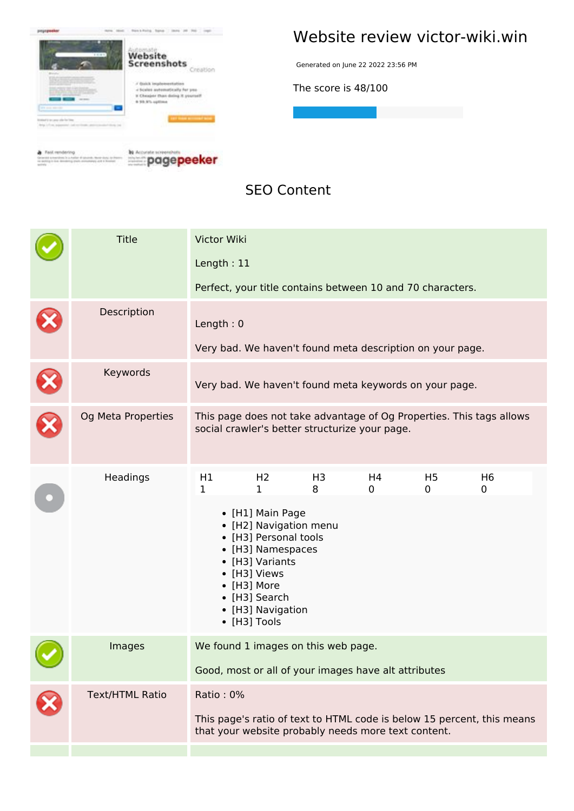

**S** Fast rendering<br>construction is a price distant from the original

**Example** page peeker

#### **Website review victor-wiki.win**

Generated on June 22 2022 23:56 PM

**The score is 48/100**

**SEO Content**

| <b>Title</b>           | Victor Wiki<br>Length: 11                                                                                                                  |                                                                                                                                                                                                                         |                     |         |                     |                                                                      |  |
|------------------------|--------------------------------------------------------------------------------------------------------------------------------------------|-------------------------------------------------------------------------------------------------------------------------------------------------------------------------------------------------------------------------|---------------------|---------|---------------------|----------------------------------------------------------------------|--|
|                        |                                                                                                                                            | Perfect, your title contains between 10 and 70 characters.                                                                                                                                                              |                     |         |                     |                                                                      |  |
| Description            | Length: $0$<br>Very bad. We haven't found meta description on your page.                                                                   |                                                                                                                                                                                                                         |                     |         |                     |                                                                      |  |
| Keywords               | Very bad. We haven't found meta keywords on your page.                                                                                     |                                                                                                                                                                                                                         |                     |         |                     |                                                                      |  |
| Og Meta Properties     |                                                                                                                                            | social crawler's better structurize your page.                                                                                                                                                                          |                     |         |                     | This page does not take advantage of Og Properties. This tags allows |  |
| Headings               | H1<br>1                                                                                                                                    | H <sub>2</sub><br>1<br>• [H1] Main Page<br>• [H2] Navigation menu<br>• [H3] Personal tools<br>• [H3] Namespaces<br>• [H3] Variants<br>• [H3] Views<br>• [H3] More<br>• [H3] Search<br>• [H3] Navigation<br>• [H3] Tools | H <sub>3</sub><br>8 | H4<br>0 | H <sub>5</sub><br>0 | H <sub>6</sub><br>0                                                  |  |
| Images                 | We found 1 images on this web page.<br>Good, most or all of your images have alt attributes                                                |                                                                                                                                                                                                                         |                     |         |                     |                                                                      |  |
| <b>Text/HTML Ratio</b> | Ratio: 0%<br>This page's ratio of text to HTML code is below 15 percent, this means<br>that your website probably needs more text content. |                                                                                                                                                                                                                         |                     |         |                     |                                                                      |  |
|                        |                                                                                                                                            |                                                                                                                                                                                                                         |                     |         |                     |                                                                      |  |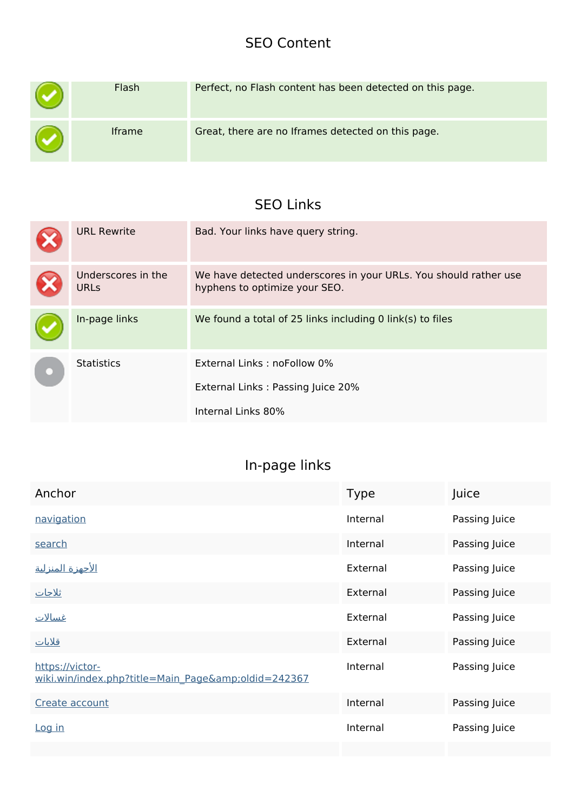#### **SEO Content**

| Flash         | Perfect, no Flash content has been detected on this page. |
|---------------|-----------------------------------------------------------|
| <b>Iframe</b> | Great, there are no Iframes detected on this page.        |

### **SEO Links**

| <b>URL Rewrite</b>                | Bad. Your links have query string.                                                                |
|-----------------------------------|---------------------------------------------------------------------------------------------------|
| Underscores in the<br><b>URLs</b> | We have detected underscores in your URLs. You should rather use<br>hyphens to optimize your SEO. |
| In-page links                     | We found a total of 25 links including 0 link(s) to files                                         |
| <b>Statistics</b>                 | External Links: noFollow 0%<br>External Links: Passing Juice 20%<br>Internal Links 80%            |

## **In-page links**

| Anchor                                                             | <b>Type</b> | Juice         |
|--------------------------------------------------------------------|-------------|---------------|
| navigation                                                         | Internal    | Passing Juice |
| search                                                             | Internal    | Passing Juice |
| <u>الأجهزة المنزلية</u>                                            | External    | Passing Juice |
| <u>ثلاجات</u>                                                      | External    | Passing Juice |
| <u>غسالات</u>                                                      | External    | Passing Juice |
| <u>قلايات</u>                                                      | External    | Passing Juice |
| https://victor-<br>wiki.win/index.php?title=Main_Page&oldid=242367 | Internal    | Passing Juice |
| Create account                                                     | Internal    | Passing Juice |
| Log in                                                             | Internal    | Passing Juice |
|                                                                    |             |               |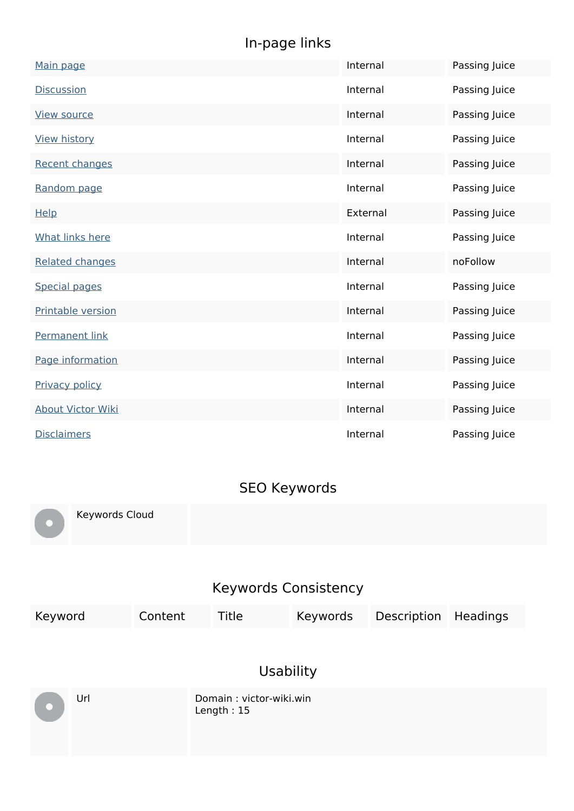### **In-page links**

| Main page                | Internal | Passing Juice |
|--------------------------|----------|---------------|
| <b>Discussion</b>        | Internal | Passing Juice |
| <b>View source</b>       | Internal | Passing Juice |
| <b>View history</b>      | Internal | Passing Juice |
| <b>Recent changes</b>    | Internal | Passing Juice |
| Random page              | Internal | Passing Juice |
| Help                     | External | Passing Juice |
| <b>What links here</b>   | Internal | Passing Juice |
| <b>Related changes</b>   | Internal | noFollow      |
| <b>Special pages</b>     | Internal | Passing Juice |
| Printable version        | Internal | Passing Juice |
| <b>Permanent link</b>    | Internal | Passing Juice |
| Page information         | Internal | Passing Juice |
| <b>Privacy policy</b>    | Internal | Passing Juice |
| <b>About Victor Wiki</b> | Internal | Passing Juice |
| <b>Disclaimers</b>       | Internal | Passing Juice |

#### **SEO Keywords**

Keywords Cloud

#### **Keywords Consistency**

| Keyword | Content | Title                                   | Keywords | Description | <b>Headings</b> |  |
|---------|---------|-----------------------------------------|----------|-------------|-----------------|--|
|         |         |                                         |          |             |                 |  |
|         |         | <b>Usability</b>                        |          |             |                 |  |
| Url     |         | Domain: victor-wiki.win<br>Length: $15$ |          |             |                 |  |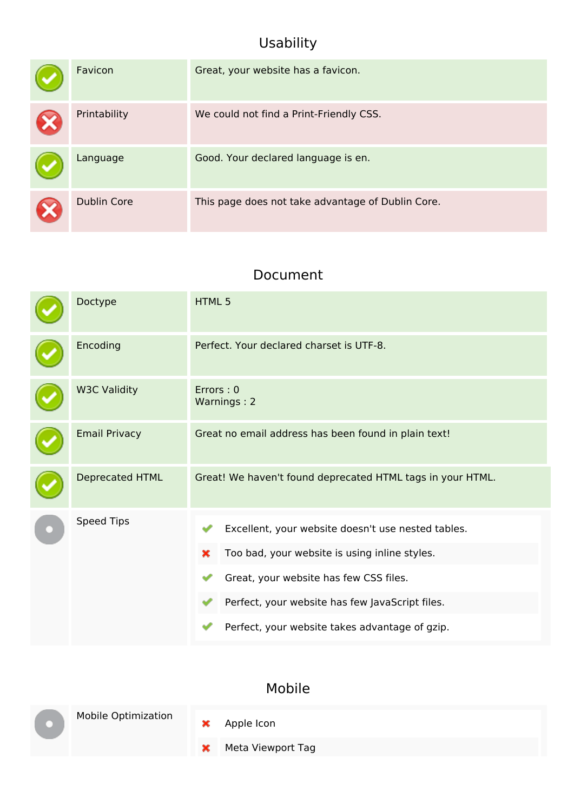#### **Usability**

| Favicon            | Great, your website has a favicon.                |
|--------------------|---------------------------------------------------|
| Printability       | We could not find a Print-Friendly CSS.           |
| Language           | Good. Your declared language is en.               |
| <b>Dublin Core</b> | This page does not take advantage of Dublin Core. |

#### **Document**

| Doctype              | HTML 5                                                                                                                                                                                                                                                  |  |  |
|----------------------|---------------------------------------------------------------------------------------------------------------------------------------------------------------------------------------------------------------------------------------------------------|--|--|
| Encoding             | Perfect. Your declared charset is UTF-8.                                                                                                                                                                                                                |  |  |
| <b>W3C Validity</b>  | Errors: 0<br>Warnings: 2                                                                                                                                                                                                                                |  |  |
| <b>Email Privacy</b> | Great no email address has been found in plain text!                                                                                                                                                                                                    |  |  |
| Deprecated HTML      | Great! We haven't found deprecated HTML tags in your HTML.                                                                                                                                                                                              |  |  |
| Speed Tips           | Excellent, your website doesn't use nested tables.<br>Too bad, your website is using inline styles.<br>×<br>Great, your website has few CSS files.<br>Perfect, your website has few JavaScript files.<br>Perfect, your website takes advantage of gzip. |  |  |

#### **Mobile**



Apple Icon

 $\pmb{\times}$ 

Meta Viewport Tag $\pmb{\times}$